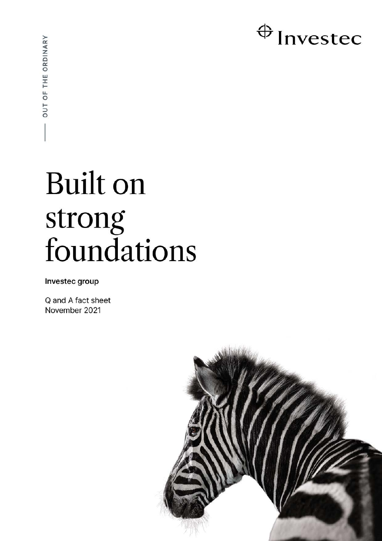# $\bigoplus$  Investec

# **Built on** strong foundations

Investec group

Q and A fact sheet November 2021

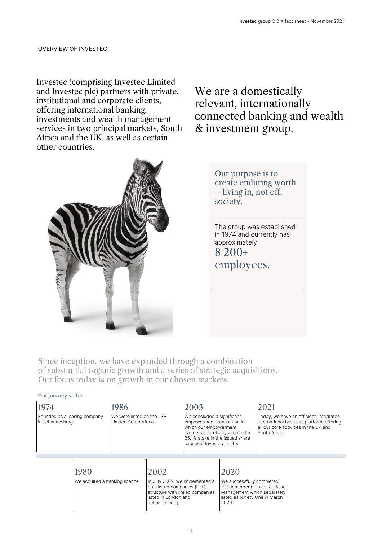Investec (comprising Investec Limited and Investec plc) partners with private, institutional and corporate clients, offering international banking, investments and wealth management services in two principal markets, South Africa and the UK, as well as certain other countries.

# We are a domestically relevant, internationally connected banking and wealth & investment group.

Our purpose is to create enduring worth – living in, not off, society.

The group was established in 1974 and currently has approximately 8 200+ employees.

Since inception, we have expanded through a combination of substantial organic growth and a series of strategic acquisitions. Our focus today is on growth in our chosen markets.

#### **Our journey so far**

1974 Founded as a leasing company in Johannesburg

# 1986

We were listed on the JSE Limited South Africa

# 2003

We concluded a significant empowerment transaction in which our empowerment partners collectively acquired a 25.1% stake in the issued share capital of Investec Limited

# 2021

Today, we have an efficient, integrated international business platform, offering all our core activities in the UK and South Africa

1980

We acquired a banking licence

# 2002

In July 2002, we implemented a dual listed companies (DLC) structure with linked companies listed in London and Johannesburg

# 2020

We successfully completed the demerger of Investec Asset Management which separately listed as Ninety One in March 2020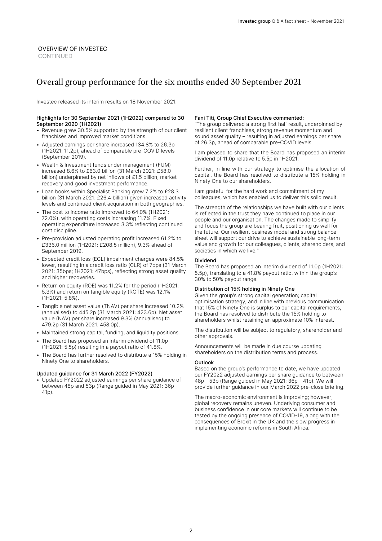#### OVERVIEW OF INVESTEC CONTINUED

# Overall group performance for the six months ended 30 September 2021

Investec released its interim results on 18 November 2021.

#### Highlights for 30 September 2021 (1H2022) compared to 30 September 2020 (1H2021)

- Revenue grew 30.5% supported by the strength of our client franchises and improved market conditions.
- Adjusted earnings per share increased 134.8% to 26.3p (1H2021: 11.2p), ahead of comparable pre-COVID levels (September 2019).
- Wealth & Investment funds under management (FUM) increased 8.6% to £63.0 billion (31 March 2021: £58.0 billion) underpinned by net inflows of £1.5 billion, market recovery and good investment performance.
- Loan books within Specialist Banking grew 7.2% to £28.3 billion (31 March 2021: £26.4 billion) given increased activity levels and continued client acquisition in both geographies.
- The cost to income ratio improved to 64.0% (1H2021: 72.0%), with operating costs increasing 11.7%. Fixed operating expenditure increased 3.3% reflecting continued cost discipline.
- Pre-provision adjusted operating profit increased 61.2% to £336.0 million (1H2021: £208.5 million), 9.3% ahead of September 2019.
- Expected credit loss (ECL) impairment charges were 84.5% lower, resulting in a credit loss ratio (CLR) of 7bps (31 March 2021: 35bps; 1H2021: 47bps), reflecting strong asset quality and higher recoveries.
- Return on equity (ROE) was 11.2% for the period (1H2021: 5.3%) and return on tangible equity (ROTE) was 12.1% (1H2021: 5.8%).
- Tangible net asset value (TNAV) per share increased 10.2% (annualised) to 445.2p (31 March 2021: 423.6p). Net asset value (NAV) per share increased 9.3% (annualised) to 479.2p (31 March 2021: 458.0p).
- Maintained strong capital, funding, and liquidity positions.
- The Board has proposed an interim dividend of 11.0p (1H2021: 5.5p) resulting in a payout ratio of 41.8%.
- The Board has further resolved to distribute a 15% holding in Ninety One to shareholders.

#### Updated guidance for 31 March 2022 (FY2022)

• Updated FY2022 adjusted earnings per share guidance of between 48p and 53p (Range guided in May 2021: 36p – 41p).

#### Fani Titi, Group Chief Executive commented:

"The group delivered a strong first half result, underpinned by resilient client franchises, strong revenue momentum and sound asset quality – resulting in adjusted earnings per share of 26.3p, ahead of comparable pre-COVID levels.

I am pleased to share that the Board has proposed an interim dividend of 11.0p relative to 5.5p in 1H2021.

Further, in line with our strategy to optimise the allocation of capital, the Board has resolved to distribute a 15% holding in Ninety One to our shareholders.

I am grateful for the hard work and commitment of my colleagues, which has enabled us to deliver this solid result.

The strength of the relationships we have built with our clients is reflected in the trust they have continued to place in our people and our organisation. The changes made to simplify and focus the group are bearing fruit, positioning us well for the future. Our resilient business model and strong balance sheet will support our drive to achieve sustainable long-term value and growth for our colleagues, clients, shareholders, and societies in which we live."

#### Dividend

The Board has proposed an interim dividend of 11.0p (1H2021: 5.5p), translating to a 41.8% payout ratio, within the group's 30% to 50% payout range.

#### Distribution of 15% holding in Ninety One

Given the group's strong capital generation; capital optimisation strategy; and in line with previous communication that 15% of Ninety One is surplus to our capital requirements, the Board has resolved to distribute the 15% holding to shareholders whilst retaining an approximate 10% interest.

The distribution will be subject to regulatory, shareholder and other approvals.

Announcements will be made in due course updating shareholders on the distribution terms and process.

#### **Outlook**

Based on the group's performance to date, we have updated our FY2022 adjusted earnings per share guidance to between 48p - 53p (Range guided in May 2021: 36p – 41p). We will provide further guidance in our March 2022 pre-close briefing.

The macro-economic environment is improving; however, global recovery remains uneven. Underlying consumer and business confidence in our core markets will continue to be tested by the ongoing presence of COVID-19, along with the consequences of Brexit in the UK and the slow progress in implementing economic reforms in South Africa.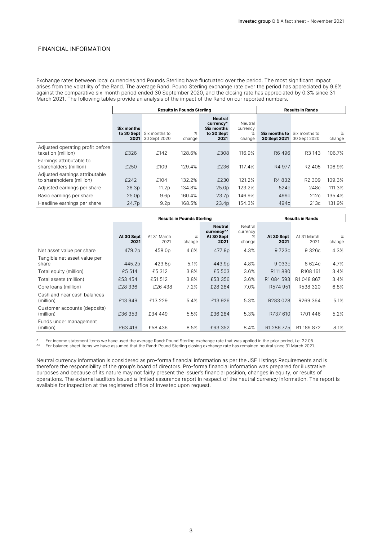Exchange rates between local currencies and Pounds Sterling have fluctuated over the period. The most significant impact arises from the volatility of the Rand. The average Rand: Pound Sterling exchange rate over the period has appreciated by 9.6% against the comparative six-month period ended 30 September 2020, and the closing rate has appreciated by 0.3% since 31 March 2021. The following tables provide an analysis of the impact of the Rand on our reported numbers.

|                                                             |                    |                                          | <b>Results in Pounds Sterling</b> | <b>Results in Rands</b>                                                     |                                       |                               |                               |             |
|-------------------------------------------------------------|--------------------|------------------------------------------|-----------------------------------|-----------------------------------------------------------------------------|---------------------------------------|-------------------------------|-------------------------------|-------------|
|                                                             | Six months<br>2021 | to 30 Sept Six months to<br>30 Sept 2020 | ℅<br>change                       | <b>Neutral</b><br>currency <sup>^</sup><br>Six months<br>to 30 Sept<br>2021 | Neutral<br>currency<br>$\%$<br>change | Six months to<br>30 Sept 2021 | Six months to<br>30 Sept 2020 | %<br>change |
| Adjusted operating profit before<br>taxation (million)      | £326               | £142                                     | 128.6%                            | £308                                                                        | 116.9%                                | R6 496                        | R3 143                        | 106.7%      |
| Earnings attributable to<br>shareholders (million)          | £250               | £109                                     | 129.4%                            | £236                                                                        | 117.4%                                | R4 977                        | R <sub>2</sub> 405            | 106.9%      |
| Adjusted earnings attributable<br>to shareholders (million) | £242               | £104                                     | 132.2%                            | £230                                                                        | 121 2%                                | R4832                         | R <sub>2</sub> 309            | 109.3%      |
| Adjusted earnings per share                                 | 26.3p              | 11.2p                                    | 134.8%                            | 25.0 <sub>p</sub>                                                           | 123.2%                                | 524c                          | 248c                          | 111.3%      |
| Basic earnings per share                                    | 25.0 <sub>p</sub>  | 9.6 <sub>p</sub>                         | 160.4%                            | 23.7 <sub>p</sub>                                                           | 146.9%                                | 499c                          | 212c                          | 135.4%      |
| Headline earnings per share                                 | 24.7p              | 9.2 <sub>p</sub>                         | 168.5%                            | 23.4p                                                                       | 154.3%                                | 494c                          | 213c                          | 131.9%      |

|                                           |                    | <b>Results in Pounds Sterling</b> | <b>Results in Rands</b> |                                                                |                                    |                    |                      |             |
|-------------------------------------------|--------------------|-----------------------------------|-------------------------|----------------------------------------------------------------|------------------------------------|--------------------|----------------------|-------------|
|                                           | At 30 Sept<br>2021 | At 31 March<br>2021               | %<br>change             | <b>Neutral</b><br>currency <sup>^^</sup><br>At 30 Sept<br>2021 | Neutral<br>currency<br>%<br>change | At 30 Sept<br>2021 | At 31 March<br>2021  | %<br>change |
| Net asset value per share                 | 479.2p             | 458.0p                            | 4.6%                    | 477.9 <sub>p</sub>                                             | 4.3%                               | 9723c              | 9 3 2 6 c            | 4.3%        |
| Tangible net asset value per<br>share     | 445.2p             | 423.6p                            | 5.1%                    | 443.9p                                                         | 4.8%                               | 9033c              | 8624c                | 4.7%        |
| Total equity (million)                    | £5 514             | £5 312                            | 3.8%                    | £5 503                                                         | 3.6%                               | R111880            | R <sub>108</sub> 161 | 3.4%        |
| Total assets (million)                    | £53 454            | £51 512                           | 3.8%                    | £53 356                                                        | 3.6%                               | R1 084 593         | R1048867             | 3.4%        |
| Core Ioans (million)                      | £28 336            | £26438                            | 7.2%                    | £28 284                                                        | 7.0%                               | R574 951           | R538 320             | 6.8%        |
| Cash and near cash balances<br>(million)  | £13 949            | £13 229                           | 5.4%                    | £13 926                                                        | 5.3%                               | R283028            | R269 364             | 5.1%        |
| Customer accounts (deposits)<br>(million) | £36 353            | £34 449                           | 5.5%                    | £36 284                                                        | 5.3%                               | R737 610           | R701446              | 5.2%        |
| Funds under management<br>(million)       | £63 419            | £58436                            | 8.5%                    | £63 352                                                        | 8.4%                               | R1 286 775         | R1 189 872           | 8.1%        |

For income statement items we have used the average Rand: Pound Sterling exchange rate that was applied in the prior period, i.e. 22.05.

^^ For balance sheet items we have assumed that the Rand: Pound Sterling closing exchange rate has remained neutral since 31 March 2021.

Neutral currency information is considered as pro-forma financial information as per the JSE Listings Requirements and is therefore the responsibility of the group's board of directors. Pro-forma financial information was prepared for illustrative purposes and because of its nature may not fairly present the issuer's financial position, changes in equity, or results of operations. The external auditors issued a limited assurance report in respect of the neutral currency information. The report is available for inspection at the registered office of Investec upon request.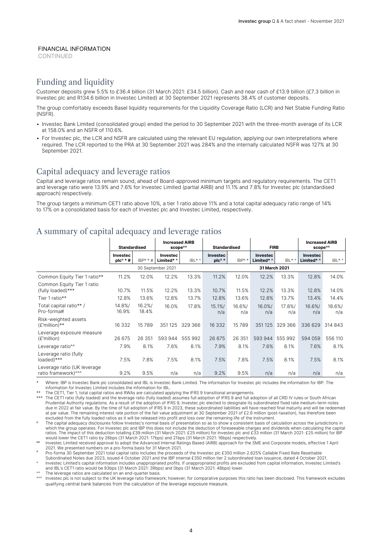**CONTINUED** 

## Funding and liquidity

Customer deposits grew 5.5% to £36.4 billion (31 March 2021: £34.5 billion). Cash and near cash of £13.9 billion (£7.3 billion in Investec plc and R134.6 billion in Investec Limited) at 30 September 2021 represents 38.4% of customer deposits.

The group comfortably exceeds Basel liquidity requirements for the Liquidity Coverage Ratio (LCR) and Net Stable Funding Ratio (NSFR).

- Investec Bank Limited (consolidated group) ended the period to 30 September 2021 with the three-month average of its LCR at 158.0% and an NSFR of 110.6%.
- For Investec plc, the LCR and NSFR are calculated using the relevant EU regulation, applying our own interpretations where required. The LCR reported to the PRA at 30 September 2021 was 284% and the internally calculated NSFR was 127% at 30 September 2021.

## Capital adequacy and leverage ratios

Capital and leverage ratios remain sound, ahead of Board-approved minimum targets and regulatory requirements. The CET1 and leverage ratio were 13.9% and 7.6% for Investec Limited (partial AIRB) and 11.1% and 7.8% for Investec plc (standardised approach) respectively.

The group targets a minimum CET1 ratio above 10%, a tier 1 ratio above 11% and a total capital adequacy ratio range of 14% to 17% on a consolidated basis for each of Investec plc and Investec Limited, respectively.

# A summary of capital adequacy and leverage ratios

|                                                    | <b>Standardised</b>           |                | <b>Increased AIRB</b><br>scope <sup>oo</sup> |         | <b>Standardised</b>         |                    | <b>FIRB</b>                   |               | <b>Increased AIRB</b><br>scope <sup>00</sup> |               |
|----------------------------------------------------|-------------------------------|----------------|----------------------------------------------|---------|-----------------------------|--------------------|-------------------------------|---------------|----------------------------------------------|---------------|
|                                                    | Investec<br>$plc^{\circ}$ * # | $IBP^o * H$    | Investec<br>Limited* ^                       | $IBL^*$ | Investec<br>$p c^{\circ *}$ | IBP <sup>o</sup> * | <b>Investec</b><br>Limited* ^ | $IBL^*$       | <b>Investec</b><br>Limited* ^                | IBL* ^        |
|                                                    |                               |                | 30 September 2021                            |         | 31 March 2021               |                    |                               |               |                                              |               |
| Common Equity Tier 1 ratio**                       | 11.2%                         | 12.0%          | 12.2%                                        | 13.3%   | 11.2%                       | 12.0%              | 12.2%                         | 13.3%         | 12.8%                                        | 14.0%         |
| Common Equity Tier 1 ratio<br>(fully loaded)***    | 10.7%                         | 11.5%          | 12.2%                                        | 13.3%   | 10.7%                       | 11.5%              | 12.2%                         | 13.3%         | 12.8%                                        | 14.0%         |
| Tier 1 ratio**                                     | 12.8%                         | 13.6%          | 12.8%                                        | 13.7%   | 12.8%                       | 13.6%              | 12.8%                         | 13.7%         | 13.4%                                        | 14.4%         |
| Total capital ratio** /<br>Pro-forma#              | 14.8%/<br>16.9%               | 16.2%<br>18.4% | 16.0%                                        | 17.8%   | 15.1%<br>n/a                | 16.6%/<br>n/a      | 16.0%/<br>n/a                 | 17.8%/<br>n/a | 16.6%<br>n/a                                 | 18.6%/<br>n/a |
| Risk-weighted assets<br>$(E'million)**$            | 16 332                        | 15789          | 351125                                       | 329 366 | 16 332                      | 15 789             | 351125                        | 329 366       | 336 629                                      | 314 843       |
| Leverage exposure measure<br>(£'million)           | 26 675                        | 26 351         | 593 944                                      | 555 992 | 26 675                      | 26 351             | 593 944                       | 555 992       | 594 059                                      | 556 110       |
| Leverage ratio <sup>^^</sup>                       | 7.9%                          | 8.1%           | 7.6%                                         | 8.1%    | 7.9%                        | 8.1%               | 7.6%                          | 8.1%          | 7.6%                                         | 8.1%          |
| Leverage ratio (fully<br>loaded)***                | 7.5%                          | 7.8%           | 7.5%                                         | 8.1%    | 7.5%                        | 7.8%               | 7.5%                          | 8.1%          | 7.5%                                         | 8.1%          |
| Leverage ratio (UK leverage<br>ratio framework)^^^ | 9.2%                          | 9.5%           | n/a                                          | n/a     | 9.2%                        | 9.5%               | n/a                           | n/a           | n/a                                          | n/a           |

Where: IBP is Investec Bank plc consolidated and IBL is Investec Bank Limited. The information for Investec plc includes the information for IBP. The information for Investec Limited includes the information for IBL.

The CET1, Tier 1, total capital ratios and RWAs are calculated applying the IFRS 9 transitional arrangements.

\*\*\* The CET1 ratio (fully loaded) and the leverage ratio (fully loaded) assumes full adoption of IFRS 9 and full adoption of all CRD IV rules or South African Prudential Authority regulations. As a result of the adoption of IFRS 9, Investec plc elected to designate its subordinated fixed rate medium-term notes<br>due in 2022 at fair value. By the time of full adoption of IFRS 9 in at par value. The remaining interest rate portion of the fair value adjustment at 30 September 2021 of £2.6 million (post-taxation), has therefore been excluded from the fully loaded ratios as it will be released into profit and loss over the remaining life of the instrument.

The capital adequacy disclosures follow Investec's normal basis of presentation so as to show a consistent basis of calculation across the jurisdictions in which the group operates. For Investec plc and IBP this does not include the deduction of foreseeable charges and dividends when calculating the capital ratios. The impact of this deduction totalling £39 million (31 March 2021: £25 million) for Investec plc and £33 million (31 March 2021: £25 million) for IBP would lower the CET1 ratio by 26bps (31 March 2021: 17bps) and 21bps (31 March 2021: 16bps) respectively.

Investec Limited received approval to adopt the Advanced Internal Ratings Based (AIRB) approach for the SME and Corporate models, effective 1 April 2021. We presented numbers on a pro-forma basis for 31 March 2021.

# Pro-forma 30 September 2021 total capital ratio includes the proceeds of the Investec plc £350 million 2.625% Callable Fixed Rate Resettable

Subordinated Notes due 2023, issued 4 October 2021 and the IBP internal £350 million tier 2 subordinated loan issuance, dated 4 October 2021.

^ Investec Limited's capital information includes unappropriated profits. If unappropriated profits are excluded from capital information, Investec Limited's and IBL's CET1 ratio would be 93bps (31 March 2021: 39bps) and 0bps (31 March 2021: 48bps) lower.

The leverage ratios are calculated on an end-quarter basis.

^^^ Investec plc is not subject to the UK leverage ratio framework; however, for comparative purposes this ratio has been disclosed. This framework excludes qualifying central bank balances from the calculation of the leverage exposure measure.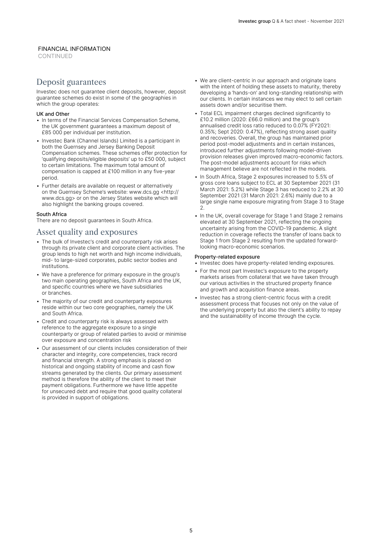**CONTINUED** 

## Deposit guarantees

Investec does not guarantee client deposits, however, deposit guarantee schemes do exist in some of the geographies in which the group operates:

#### UK and Other

- In terms of the Financial Services Compensation Scheme, the UK government guarantees a maximum deposit of £85 000 per individual per institution.
- Investec Bank (Channel Islands) Limited is a participant in both the Guernsey and Jersey Banking Deposit Compensation schemes. These schemes offer protection for 'qualifying deposits/eligible deposits' up to £50 000, subject to certain limitations. The maximum total amount of compensation is capped at £100 million in any five-year period.
- Further details are available on request or alternatively on the Guernsey Scheme's website: www.dcs.gg <http:// www.dcs.gg> or on the Jersey States website which will also highlight the banking groups covered.

#### South Africa

There are no deposit guarantees in South Africa.

#### Asset quality and exposures

- The bulk of Investec's credit and counterparty risk arises through its private client and corporate client activities. The group lends to high net worth and high income individuals, mid- to large-sized corporates, public sector bodies and institutions.
- We have a preference for primary exposure in the group's two main operating geographies, South Africa and the UK, and specific countries where we have subsidiaries or branches.
- The majority of our credit and counterparty exposures reside within our two core geographies, namely the UK and South Africa.
- Credit and counterparty risk is always assessed with reference to the aggregate exposure to a single counterparty or group of related parties to avoid or minimise over exposure and concentration risk
- Our assessment of our clients includes consideration of their character and integrity, core competencies, track record and financial strength. A strong emphasis is placed on historical and ongoing stability of income and cash flow streams generated by the clients. Our primary assessment method is therefore the ability of the client to meet their payment obligations. Furthermore we have little appetite for unsecured debt and require that good quality collateral is provided in support of obligations.
- We are client-centric in our approach and originate loans with the intent of holding these assets to maturity, thereby developing a 'hands-on' and long-standing relationship with our clients. In certain instances we may elect to sell certain assets down and/or securitise them.
- Total ECL impairment charges declined significantly to £10.2 million (2020: £66.0 million) and the group's annualised credit loss ratio reduced to 0.07% (FY2021: 0.35%; Sept 2020: 0.47%), reflecting strong asset quality and recoveries. Overall, the group has maintained prior period post-model adjustments and in certain instances, introduced further adjustments following model-driven provision releases given improved macro-economic factors. The post-model adjustments account for risks which management believe are not reflected in the models.
- In South Africa, Stage 2 exposures increased to 5.5% of gross core loans subject to ECL at 30 September 2021 (31 March 2021: 5.2%) while Stage 3 has reduced to 2.2% at 30 September 2021 (31 March 2021: 2.6%) mainly due to a large single name exposure migrating from Stage 3 to Stage  $\mathcal{L}$
- In the UK, overall coverage for Stage 1 and Stage 2 remains elevated at 30 September 2021, reflecting the ongoing uncertainty arising from the COVID-19 pandemic. A slight reduction in coverage reflects the transfer of loans back to Stage 1 from Stage 2 resulting from the updated forwardlooking macro-economic scenarios.

#### Property-related exposure

- Investec does have property-related lending exposures.
- For the most part Investec's exposure to the property markets arises from collateral that we have taken through our various activities in the structured property finance and growth and acquisition finance areas.
- Investec has a strong client-centric focus with a credit assessment process that focuses not only on the value of the underlying property but also the client's ability to repay and the sustainability of income through the cycle.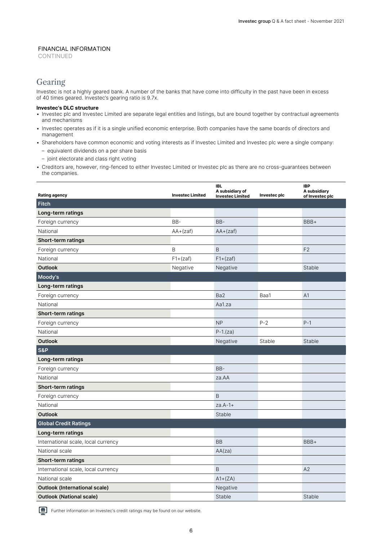CONTINUED

## Gearing

Investec is not a highly geared bank. A number of the banks that have come into difficulty in the past have been in excess of 40 times geared. Investec's gearing ratio is 9.7x.

#### **Investec's DLC structure**

- Investec plc and Investec Limited are separate legal entities and listings, but are bound together by contractual agreements and mechanisms
- Investec operates as if it is a single unified economic enterprise. Both companies have the same boards of directors and management
- Shareholders have common economic and voting interests as if Investec Limited and Investec plc were a single company:
	- equivalent dividends on a per share basis
	- joint electorate and class right voting
- Creditors are, however, ring-fenced to either Investec Limited or Investec plc as there are no cross-guarantees between the companies.

| <b>Rating agency</b>                 | <b>Investec Limited</b> | <b>IBL</b><br>A subsidiary of<br><b>Investec Limited</b> | Investec plc | <b>IBP</b><br>A subsidiary<br>of Investec plc |
|--------------------------------------|-------------------------|----------------------------------------------------------|--------------|-----------------------------------------------|
| <b>Fitch</b>                         |                         |                                                          |              |                                               |
| Long-term ratings                    |                         |                                                          |              |                                               |
| Foreign currency                     | BB-                     | BB-                                                      |              | BBB+                                          |
| National                             | $AA + (zaf)$            | $AA + (zaf)$                                             |              |                                               |
| Short-term ratings                   |                         |                                                          |              |                                               |
| Foreign currency                     | B                       | B                                                        |              | F <sub>2</sub>                                |
| National                             | $F1+(zaf)$              | $F1+(zaf)$                                               |              |                                               |
| <b>Outlook</b>                       | Negative                | Negative                                                 |              | Stable                                        |
| Moody's                              |                         |                                                          |              |                                               |
| Long-term ratings                    |                         |                                                          |              |                                               |
| Foreign currency                     |                         | Ba <sub>2</sub>                                          | Baa1         | A <sub>1</sub>                                |
| National                             |                         | Aa1.za                                                   |              |                                               |
| Short-term ratings                   |                         |                                                          |              |                                               |
| Foreign currency                     |                         | <b>NP</b>                                                | $P - 2$      | $P-1$                                         |
| National                             |                         | $P-1.(za)$                                               |              |                                               |
| <b>Outlook</b>                       |                         | Negative                                                 | Stable       | <b>Stable</b>                                 |
| <b>S&amp;P</b>                       |                         |                                                          |              |                                               |
| Long-term ratings                    |                         |                                                          |              |                                               |
| Foreign currency                     |                         | BB-                                                      |              |                                               |
| National                             |                         | za.AA                                                    |              |                                               |
| Short-term ratings                   |                         |                                                          |              |                                               |
| Foreign currency                     |                         | B                                                        |              |                                               |
| National                             |                         | $za.A-1+$                                                |              |                                               |
| <b>Outlook</b>                       |                         | Stable                                                   |              |                                               |
| <b>Global Credit Ratings</b>         |                         |                                                          |              |                                               |
| Long-term ratings                    |                         |                                                          |              |                                               |
| International scale, local currency  |                         | <b>BB</b>                                                |              | BBB+                                          |
| National scale                       |                         | AA(za)                                                   |              |                                               |
| Short-term ratings                   |                         |                                                          |              |                                               |
| International scale, local currency  |                         | B                                                        |              | A2                                            |
| National scale                       |                         | $A1+(ZA)$                                                |              |                                               |
| <b>Outlook (International scale)</b> |                         | Negative                                                 |              |                                               |
| <b>Outlook (National scale)</b>      |                         | Stable                                                   |              | Stable                                        |

Further information on Investec's credit ratings may be found on our website.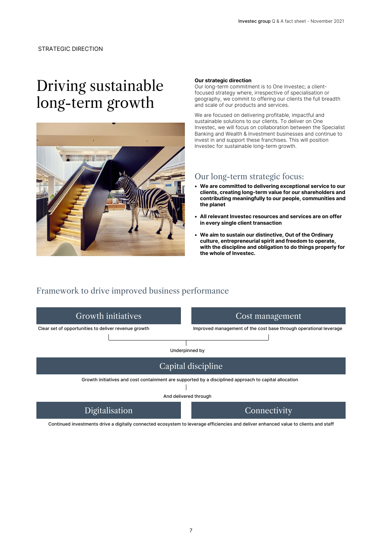# Driving sustainable long-term growth



#### **Our strategic direction**

Our long-term commitment is to One Investec; a clientfocused strategy where, irrespective of specialisation or geography, we commit to offering our clients the full breadth and scale of our products and services.

We are focused on delivering profitable, impactful and sustainable solutions to our clients. To deliver on One Investec, we will focus on collaboration between the Specialist Banking and Wealth & Investment businesses and continue to invest in and support these franchises. This will position Investec for sustainable long-term growth.

#### Our long-term strategic focus:

- **We are committed to delivering exceptional service to our clients, creating long-term value for our shareholders and contributing meaningfully to our people, communities and the planet**
- **All relevant Investec resources and services are on offer in every single client transaction**
- **We aim to sustain our distinctive, Out of the Ordinary culture, entrepreneurial spirit and freedom to operate, with the discipline and obligation to do things properly for the whole of Investec.**

## Framework to drive improved business performance



Continued investments drive a digitally connected ecosystem to leverage efficiencies and deliver enhanced value to clients and staff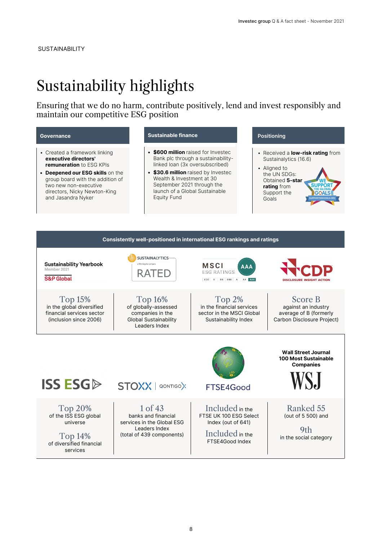# Sustainability highlights

Ensuring that we do no harm, contribute positively, lend and invest responsibly and maintain our competitive ESG position

#### **Governance**

- Created a framework linking **executive directors' remuneration** to ESG KPIs
- **Deepened our ESG skills** on the group board with the addition of two new non-executive directors, Nicky Newton-King and Jasandra Nyker

#### **Sustainable finance**

- **\$600 million** raised for Investec Bank plc through a sustainabilitylinked loan (3x oversubscribed)
- **\$30.6 million** raised by Investec Wealth & Investment at 30 September 2021 through the launch of a Global Sustainable Equity Fund

#### **Positioning**

- Received a **low-risk rating** from Sustainalytics (16.6)
- Aligned to the UN SDGs: Obtained **5-star rating** from Support the Goals

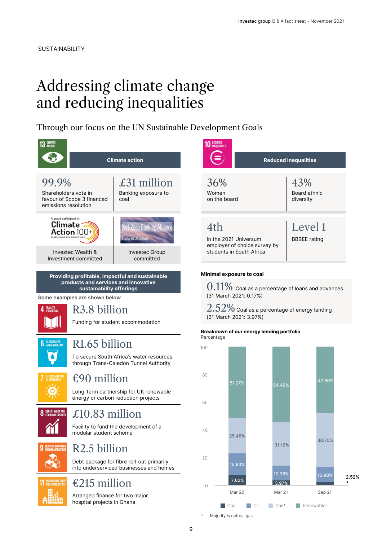# Addressing climate change and reducing inequalities

Through our focus on the UN Sustainable Development Goals



9